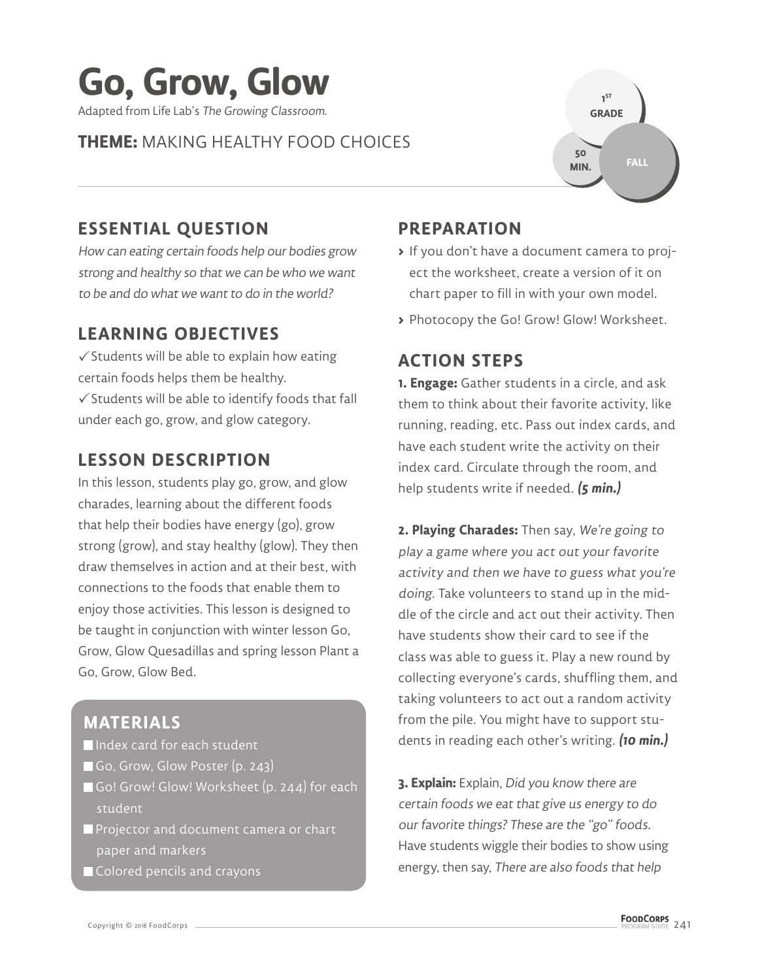

### **THEME:** MAKING HEALTHY FOOD CHOICES



# **ESSENTIAL QUESTION**

How can eating certain foods help our bodies grow strong and healthy so that we can be who we want to be and do what we want to do in the world?

### **LEARNING OBJECTIVES**

 $\checkmark$  Students will be able to explain how eating certain foods helps them be healthy.  $\checkmark$  Students will be able to identify foods that fall under each go, grow, and glow category.

## **LESSON DESCRIPTION**

In this lesson, students play go, grow, and glow charades, learning about the different foods that help their bodies have energy (go), grow strong (grow), and stay healthy (glow). They then draw themselves in action and at their best, with connections to the foods that enable them to enjoy those activities. This lesson is designed to be taught in conjunction with winter lesson Go, Grow, Glow Quesadillas and spring lesson Plant a Go, Grow, Glow Bed.

# **MATERIALS**

- Index card for each student
- Go, Grow, Glow Poster (p. 243)
- Go! Grow! Glow! Worksheet (p. 244) for each student
- **Projector and document camera or chart** paper and markers
- Colored pencils and crayons

# **PREPARATION**

- **>** If you don't have a document camera to project the worksheet, create a version of it on chart paper to fill in with your own model.
- **>** Photocopy the Go! Grow! Glow! Worksheet.

#### **ACTION STEPS**

**1. Engage:** Gather students in a circle, and ask them to think about their favorite activity, like running, reading, etc. Pass out index cards, and have each student write the activity on their index card. Circulate through the room, and help students write if needed. **(5 min.)**

**2. Playing Charades:** Then say, We're going to play a game where you act out your favorite activity and then we have to guess what you're doing. Take volunteers to stand up in the middle of the circle and act out their activity. Then have students show their card to see if the class was able to guess it. Play a new round by collecting everyone's cards, shuffling them, and taking volunteers to act out a random activity from the pile. You might have to support students in reading each other's writing. **(10 min.)**

**3. Explain:** Explain, Did you know there are certain foods we eat that give us energy to do our favorite things? These are the "go" foods. Have students wiggle their bodies to show using energy, then say, There are also foods that help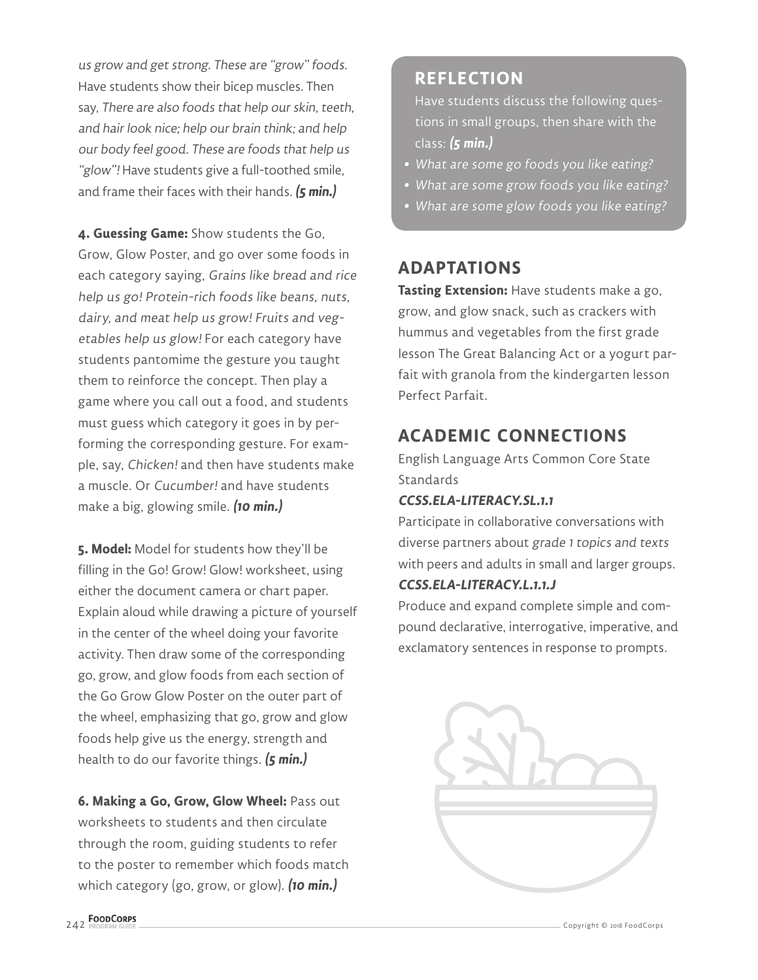us grow and get strong. These are "grow" foods. Have students show their bicep muscles. Then say, There are also foods that help our skin, teeth, and hair look nice; help our brain think; and help our body feel good. These are foods that help us "glow"! Have students give a full-toothed smile, and frame their faces with their hands. **(5 min.)**

**4. Guessing Game:** Show students the Go, Grow, Glow Poster, and go over some foods in each category saying, Grains like bread and rice help us go! Protein-rich foods like beans, nuts, dairy, and meat help us grow! Fruits and vegetables help us glow! For each category have students pantomime the gesture you taught them to reinforce the concept. Then play a game where you call out a food, and students must guess which category it goes in by performing the corresponding gesture. For example, say, Chicken! and then have students make a muscle. Or Cucumber! and have students make a big, glowing smile. **(10 min.)**

**5. Model:** Model for students how they'll be filling in the Go! Grow! Glow! worksheet, using either the document camera or chart paper. Explain aloud while drawing a picture of yourself in the center of the wheel doing your favorite activity. Then draw some of the corresponding go, grow, and glow foods from each section of the Go Grow Glow Poster on the outer part of the wheel, emphasizing that go, grow and glow foods help give us the energy, strength and health to do our favorite things. **(5 min.)**

**6. Making a Go, Grow, Glow Wheel:** Pass out worksheets to students and then circulate through the room, guiding students to refer to the poster to remember which foods match which category (go, grow, or glow). **(10 min.)**

#### **REFLECTION**

Have students discuss the following questions in small groups, then share with the class: **(5 min.)**

- **•** What are some go foods you like eating?
- **•** What are some grow foods you like eating?
- **•** What are some glow foods you like eating?

### **ADAPTATIONS**

**Tasting Extension:** Have students make a go, grow, and glow snack, such as crackers with hummus and vegetables from the first grade lesson The Great Balancing Act or a yogurt parfait with granola from the kindergarten lesson Perfect Parfait.

# **ACADEMIC CONNECTIONS**

English Language Arts Common Core State **Standards** 

#### **CCSS.ELA-LITERACY.SL.1.1**

Participate in collaborative conversations with diverse partners about grade 1 topics and texts with peers and adults in small and larger groups. **CCSS.ELA-LITERACY.L.1.1.J**

Produce and expand complete simple and compound declarative, interrogative, imperative, and exclamatory sentences in response to prompts.

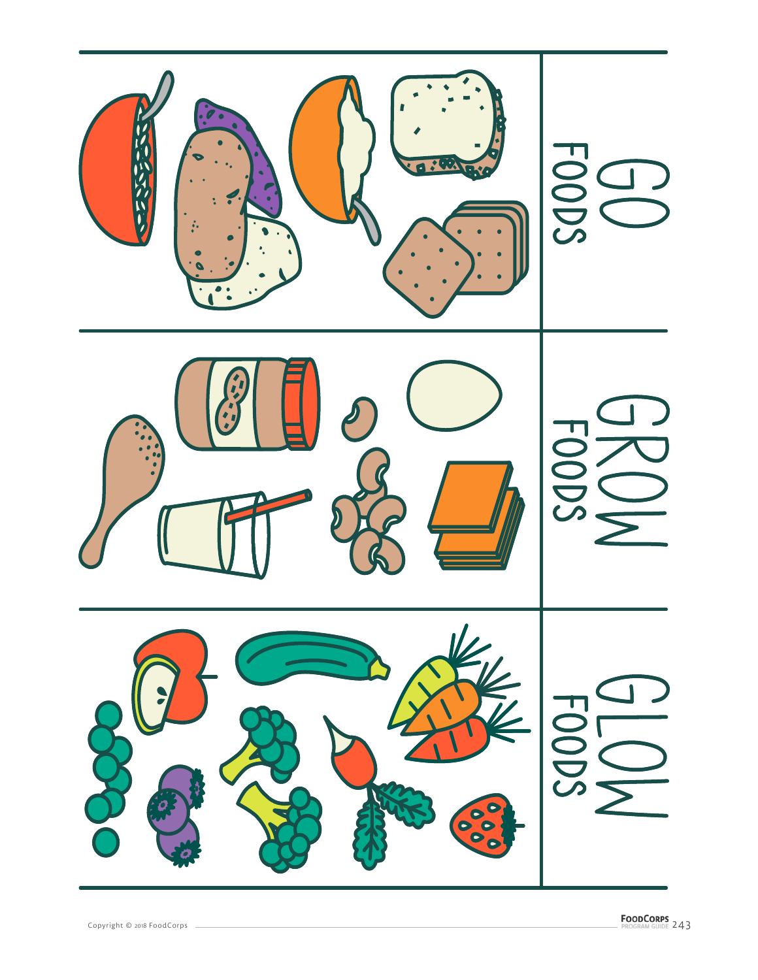